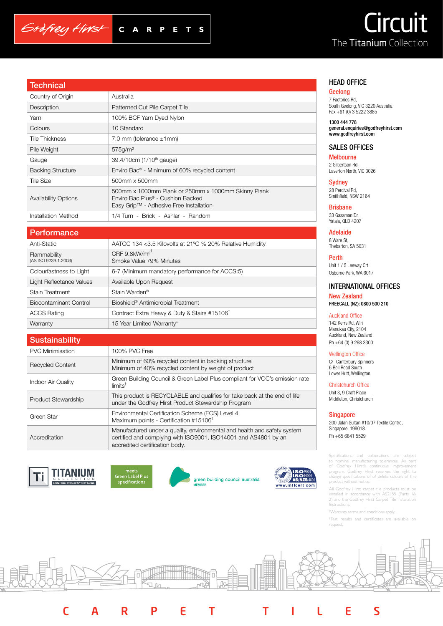# **grant** The Titanium Collection

| <u>Technical</u>         |                                                                                                                                                 |
|--------------------------|-------------------------------------------------------------------------------------------------------------------------------------------------|
| Country of Origin        | Australia                                                                                                                                       |
| Description              | Patterned Cut Pile Carpet Tile                                                                                                                  |
| Yarn                     | 100% BCF Yarn Dyed Nylon                                                                                                                        |
| Colours                  | 10 Standard                                                                                                                                     |
| Tile Thickness           | 7.0 mm (tolerance $\pm$ 1 mm)                                                                                                                   |
| Pile Weight              | 575q/m <sup>2</sup>                                                                                                                             |
| Gauge                    | 39.4/10cm (1/10 <sup>th</sup> gauge)                                                                                                            |
| <b>Backing Structure</b> | Enviro Bac <sup>®</sup> - Minimum of 60% recycled content                                                                                       |
| Tile Size                | 500mm x 500mm                                                                                                                                   |
| Availability Options     | 500mm x 1000mm Plank or 250mm x 1000mm Skinny Plank<br>Enviro Bac Plus <sup>®</sup> - Cushion Backed<br>Easy Grip™ - Adhesive Free Installation |

## **Performance**

Godfrey Hirst

| Anti-Static                          | AATCC 134 <3.5 Kilovolts at 21°C % 20% Relative Humidity |
|--------------------------------------|----------------------------------------------------------|
| Flammability<br>(AS ISO 9239.1.2003) | CRF $9.8$ kW/m <sup>2</sup><br>Smoke Value 79% Minutes   |
| Colourfastness to Light              | 6-7 (Minimum mandatory performance for ACCS:5)           |
| Light Reflectance Values             | Available Upon Request                                   |
| <b>Stain Treatment</b>               | Stain Warden <sup>®</sup>                                |
| Biocontaminant Control               | Bioshield <sup>®</sup> Antimicrobial Treatment           |
| <b>ACCS Rating</b>                   | Contract Extra Heavy & Duty & Stairs #15106 <sup>†</sup> |
| Warranty                             | 15 Year Limited Warranty*                                |
|                                      |                                                          |

| <b>Sustainability</b>   |                                                                                                                                                                               |
|-------------------------|-------------------------------------------------------------------------------------------------------------------------------------------------------------------------------|
| <b>PVC Minimisation</b> | 100% PVC Free                                                                                                                                                                 |
| <b>Recycled Content</b> | Minimum of 60% recycled content in backing structure<br>Minimum of 40% recycled content by weight of product                                                                  |
| Indoor Air Quality      | Green Building Council & Green Label Plus compliant for VOC's emission rate<br>$limits^{\dagger}$                                                                             |
| Product Stewardship     | This product is RECYCLABLE and qualifies for take back at the end of life<br>under the Godfrey Hirst Product Stewardship Program                                              |
| Green Star              | Environmental Certification Scheme (ECS) Level 4<br>Maximum points - Certification #15106 <sup>†</sup>                                                                        |
| Accreditation           | Manufactured under a quality, environmental and health and safety system<br>certified and complying with ISO9001, ISO14001 and AS4801 by an<br>accredited certification body. |





Installation Method 1/4 Turn - Brick - Ashlar - Random

 $C A$ 

 $\mathbf R$ 

 $\blacksquare$ P

S





CARPET TILES



#### HEAD OFFICE

#### Geelong

7 Factories Rd, South Geelong, VIC 3220 Australia Fax +61 (0) 3 5222 3885

1300 444 778 general.enquiries@godfreyhirst.com www.godfreyhirst.com

#### SALES OFFICES

Melbourne 2 Gilbertson Rd, Laverton North, VIC 3026

**Sydney** 28 Percival Rd, Smithfield, NSW 2164

Brisbane 33 Gassman Dr, Yatala, QLD 4207

Adelaide 8 Ware St, Thebarton, SA 5031

Perth Unit 1 / 5 Leeway Crt Osborne Park, WA 6017

### INTERNATIONAL OFFICES

New Zealand FREECALL (NZ): 0800 500 210

#### Auckland Office

142 Kerrs Rd, Wiri Manukau City, 2104 Auckland, New Zealand Ph +64 (0) 9 268 3300

#### Wellington Office

C/- Canterbury Spinners 6 Bell Road South Lower Hutt, Wellington

Christchurch Office

Unit 3, 9 Craft Place Middleton, Christchurch

#### Singapore

200 Jalan Sultan #10/07 Textile Centre, Singapore, 199018. Ph +65 6841 5529

Specifications and colourations are subject to nominal manufacturing tolerances. As part of Godfrey Hirst's continuous improvement program, Godfrey Hirst reserves the right to change specifications of of delete colours of this product without notice.

All Godfrey Hirst carpet tile products must be installed in accordance with AS2455 (Parts 1& 2) and the Godfrey Hirst Carpet Tile Installation Instructions.

† Warranty terms and conditions apply.

† Test results and certificates are available on request.